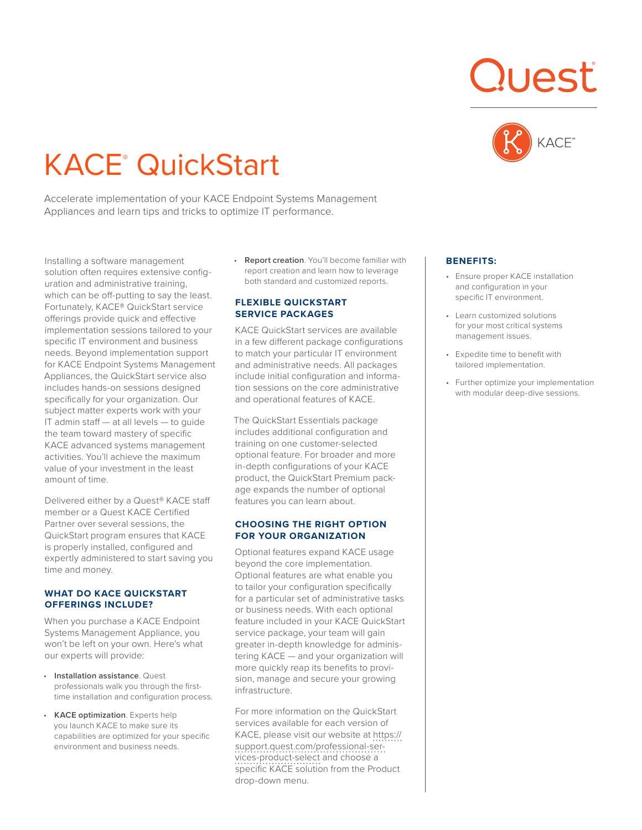# KACE® QuickStart

Accelerate implementation of your KACE Endpoint Systems Management Appliances and learn tips and tricks to optimize IT performance.

Installing a software management solution often requires extensive configuration and administrative training, which can be off-putting to say the least. Fortunately, KACE® QuickStart service offerings provide quick and effective implementation sessions tailored to your specific IT environment and business needs. Beyond implementation support for KACE Endpoint Systems Management Appliances, the QuickStart service also includes hands-on sessions designed specifically for your organization. Our subject matter experts work with your IT admin staff — at all levels — to guide the team toward mastery of specific KACE advanced systems management activities. You'll achieve the maximum value of your investment in the least amount of time.

Delivered either by a Quest® KACE staff member or a Quest KACE Certified Partner over several sessions, the QuickStart program ensures that KACE is properly installed, configured and expertly administered to start saving you time and money.

## **WHAT DO KACE QUICKSTART OFFERINGS INCLUDE?**

When you purchase a KACE Endpoint Systems Management Appliance, you won't be left on your own. Here's what our experts will provide:

- **Installation assistance**. Quest professionals walk you through the firsttime installation and configuration process.
- **KACE optimization**. Experts help you launch KACE to make sure its capabilities are optimized for your specific environment and business needs.

• **Report creation**. You'll become familiar with report creation and learn how to leverage both standard and customized reports.

# **FLEXIBLE QUICKSTART SERVICE PACKAGES**

KACE QuickStart services are available in a few different package configurations to match your particular IT environment and administrative needs. All packages include initial configuration and information sessions on the core administrative and operational features of KACE.

The QuickStart Essentials package includes additional configuration and training on one customer-selected optional feature. For broader and more in-depth configurations of your KACE product, the QuickStart Premium package expands the number of optional features you can learn about.

# **CHOOSING THE RIGHT OPTION FOR YOUR ORGANIZATION**

Optional features expand KACE usage beyond the core implementation. Optional features are what enable you to tailor your configuration specifically for a particular set of administrative tasks or business needs. With each optional feature included in your KACE QuickStart service package, your team will gain greater in-depth knowledge for administering KACE — and your organization will more quickly reap its benefits to provision, manage and secure your growing infrastructure.

For more information on the QuickStart services available for each version of KACE, please visit our website at [https://](https://support.quest.com/professional-services-product-select) [support.quest.com/professional-ser](https://support.quest.com/professional-services-product-select)[vices-product-select](https://support.quest.com/professional-services-product-select) and choose a specific KACE solution from the Product drop-down menu.





## **BENEFITS:**

- Ensure proper KACE installation and configuration in your specific IT environment.
- Learn customized solutions for your most critical systems management issues.
- Expedite time to benefit with tailored implementation.
- Further optimize your implementation with modular deep-dive sessions.